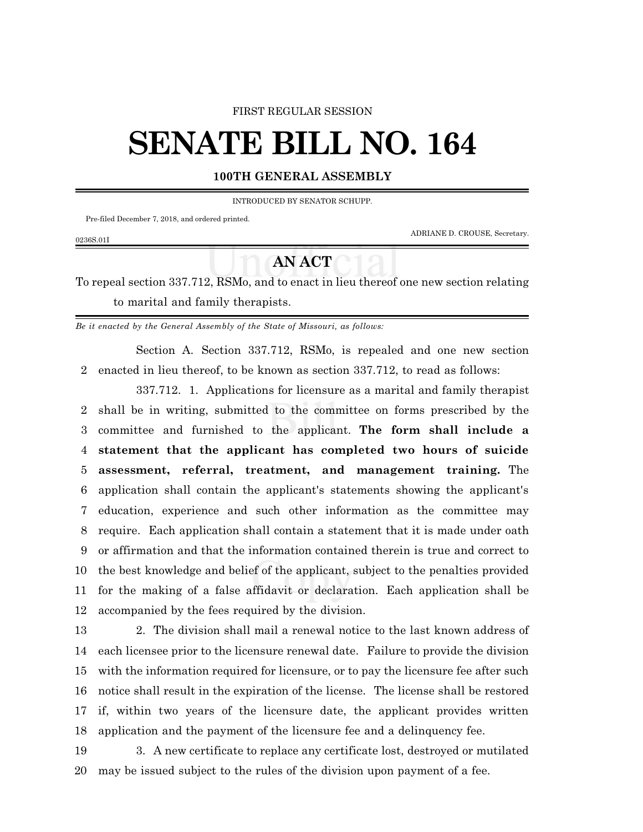## FIRST REGULAR SESSION

## **SENATE BILL NO. 164**

## **100TH GENERAL ASSEMBLY**

INTRODUCED BY SENATOR SCHUPP.

Pre-filed December 7, 2018, and ordered printed.

0236S.01I

ADRIANE D. CROUSE, Secretary.

## **AN ACT**

To repeal section 337.712, RSMo, and to enact in lieu thereof one new section relating to marital and family therapists.

*Be it enacted by the General Assembly of the State of Missouri, as follows:*

Section A. Section 337.712, RSMo, is repealed and one new section enacted in lieu thereof, to be known as section 337.712, to read as follows:

337.712. 1. Applications for licensure as a marital and family therapist shall be in writing, submitted to the committee on forms prescribed by the committee and furnished to the applicant. **The form shall include a statement that the applicant has completed two hours of suicide assessment, referral, treatment, and management training.** The application shall contain the applicant's statements showing the applicant's education, experience and such other information as the committee may require. Each application shall contain a statement that it is made under oath or affirmation and that the information contained therein is true and correct to the best knowledge and belief of the applicant, subject to the penalties provided for the making of a false affidavit or declaration. Each application shall be accompanied by the fees required by the division.

 2. The division shall mail a renewal notice to the last known address of each licensee prior to the licensure renewal date. Failure to provide the division with the information required for licensure, or to pay the licensure fee after such notice shall result in the expiration of the license. The license shall be restored if, within two years of the licensure date, the applicant provides written application and the payment of the licensure fee and a delinquency fee.

 3. A new certificate to replace any certificate lost, destroyed or mutilated may be issued subject to the rules of the division upon payment of a fee.